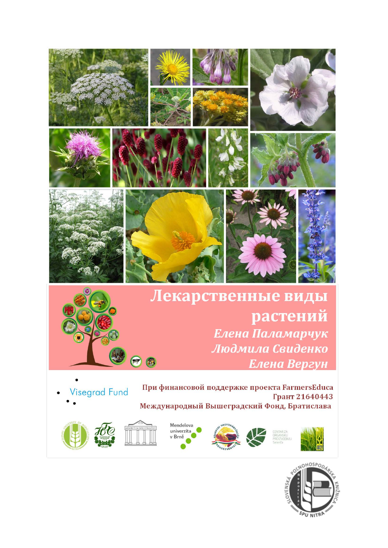

### Лекарственные виды растений Елена Паламарчук Людмила Свиденко  $<sub>e</sub>$ </sub> Елена Вергун

Visegrad Fund

При финансовой поддержке проекта FarmersEduca Грант 21640443 Международный Вышеградский Фонд, Братислава





























































































































































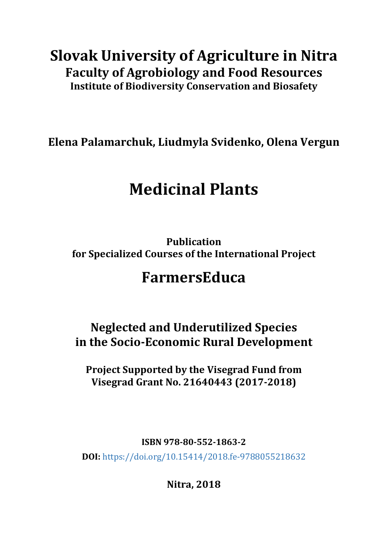## **Slovak University of Agriculture in Nitra Faculty of Agrobiology and Food Resources Institute of Biodiversity Conservation and Biosafety**

**Elena Palamarchuk, Liudmyla Svidenko, Olena Vergun**

# **Medicinal Plants**

**Publication for Specialized Courses of the International Project**

## **FarmersEduca**

**Neglected and Underutilized Species in the Socio-Economic Rural Development**

**Project Supported by the Visegrad Fund from Visegrad Grant No. 21640443 (2017-2018)**

**ISBN 978-80-552-1863-2**

**DOI:** <https://doi.org/10.15414/2018.fe-9788055218632>

**Nitra, 2018**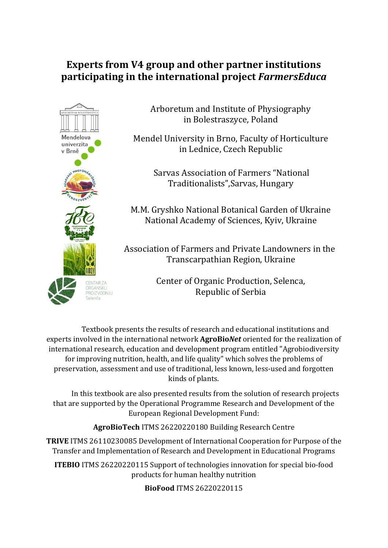### **Experts from V4 group and other partner institutions participating in the international project** *FarmersEduca*



Arboretum and Institute of Physiography in Bolestraszyce, Poland

Mendel University in Brno, Faculty of Horticulture in Lednice, Czech Republic

> Sarvas Association of Farmers "National Traditionalists",Sarvas, Hungary

M.M. Gryshko National Botanical Garden of Ukraine National Academy of Sciences, Kyiv, Ukraine

Association of Farmers and Private Landowners in the Transcarpathian Region, Ukraine

> Center of Organic Production, Selenca, Republic of Serbia

Textbook presents the results of research and educational institutions and experts involved in the international network **AgroBio***Net* oriented for the realization of international research, education and development program entitled "Agrobiodiversity for improving nutrition, health, and life quality" which solves the problems of preservation, assessment and use of traditional, less known, less-used and forgotten kinds of plants.

In this textbook are also presented results from the solution of research projects that are supported by the Operational Programme Research and Development of the European Regional Development Fund:

**AgroBioTech** ITMS 26220220180 Building Research Centre

**TRIVE** ITMS 26110230085 Development of International Cooperation for Purpose of the Transfer and Implementation of Research and Development in Educational Programs

**ITEBIO** ITMS 26220220115 Support of technologies innovation for special bio-food products for human healthy nutrition

**BioFood** ITMS 26220220115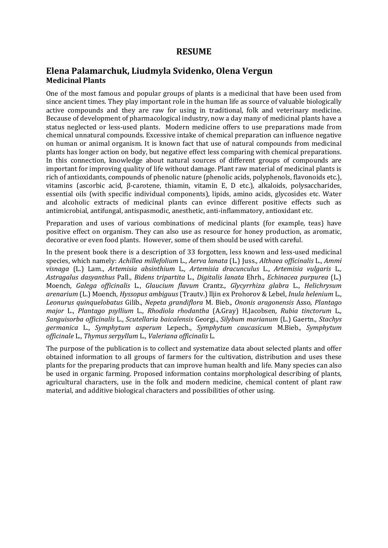#### **RESUME**

#### **Elena Palamarchuk, Liudmyla Svidenko, Olena Vergun Medicinal Plants**

One of the most famous and popular groups of plants is a medicinal that have been used from since ancient times. They play important role in the human life as source of valuable biologically active compounds and they are raw for using in traditional, folk and veterinary medicine. Because of development of pharmacological industry, now a day many of medicinal plants have a status neglected or less-used plants. Modern medicine offers to use preparations made from chemical unnatural compounds. Excessive intake of chemical preparation can influence negative on human or animal organism. It is known fact that use of natural compounds from medicinal plants has longer action on body, but negative effect less comparing with chemical preparations. In this connection, knowledge about natural sources of different groups of compounds are important for improving quality of life without damage. Plant raw material of medicinal plants is rich of antioxidants, compounds of phenolic nature (phenolic acids, polyphenols, flavonoids etc.), vitamins (ascorbic acid, β-carotene, thiamin, vitamin E, D etc.), alkaloids, polysaccharides, essential oils (with specific individual components), lipids, amino acids, glycosides etc. Water and alcoholic extracts of medicinal plants can evince different positive effects such as antimicrobial, antifungal, antispasmodic, anesthetic, anti-inflammatory, antioxidant etc.

Preparation and uses of various combinations of medicinal plants (for example, teas) have positive effect on organism. They can also use as resource for honey production, as aromatic, decorative or even food plants. However, some of them should be used with careful.

In the present book there is a description of 33 forgotten, less known and less-used medicinal species, which namely: *Achillea millefolium* L., *Aerva lanata* (L.) Juss., *Althaea officinalis* L., *Ammi visnaga* (L.) Lam., *Artemisia absinthium* L., *Artemisia dracunculus* L., *Artemisia vulgaris* L*., Astragalus dasyanthus* Pall., *Bidens tripartita* L., *Digitalis lanata* Ehrh., *Echinacea purpurea* (L.) Moench*, Galega officinalis* L., *Glaucium flavum* Crantz.*, Glycyrrhiza glabra* L., *Hеlichrysum arenarium* (L.) Moench, *Hyssopus ambiguus* (Trautv.) lljin ex Prohorov & Lebel, *Inula helenium* L., *Leonurus quinquelobatus* Gilib., *Nepeta grandiflora* M. Bieb.*, Ononis aragonensis* Asso*, Plantago major* L., *Plantago psyllium* L., *Rhodiola rhodantha* (A.Gray) H.Jacobsen*, Rubia tinctorum* L.*, Sanguisorba officinalis* L., *Scutellaria baicalensis* Georgi., *Silybum marianum* (L.) Gaertn*., Stachys germanica* L., *Symphytum asperum* Lepech., *Symphytum caucasicum* M.Bieb.*, Symphytum officinale* L., *Thymus serpyllum* L., *Valeriana officinalis* L.

The purpose of the publication is to collect and systematize data about selected plants and offer obtained information to all groups of farmers for the cultivation, distribution and uses these plants for the preparing products that can improve human health and life. Many species can also be used in organic farming. Proposed information contains morphological describing of plants, agricultural characters, use in the folk and modern medicine, chemical content of plant raw material, and additive biological characters and possibilities of other using.